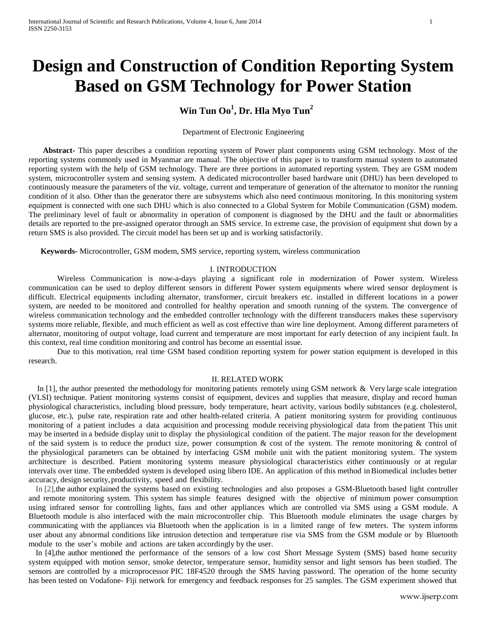# **Design and Construction of Condition Reporting System Based on GSM Technology for Power Station**

# **Win Tun Oo<sup>1</sup> , Dr. Hla Myo Tun<sup>2</sup>**

#### Department of Electronic Engineering

**Abstract-** This paper describes a condition reporting system of Power plant components using GSM technology. Most of the reporting systems commonly used in Myanmar are manual. The objective of this paper is to transform manual system to automated reporting system with the help of GSM technology. There are three portions in automated reporting system. They are GSM modem system, microcontroller system and sensing system. A dedicated microcontroller based hardware unit (DHU) has been developed to continuously measure the parameters of the viz. voltage, current and temperature of generation of the alternator to monitor the running condition of it also. Other than the generator there are subsystems which also need continuous monitoring. In this monitoring system equipment is connected with one such DHU which is also connected to a Global System for Mobile Communication (GSM) modem. The preliminary level of fault or abnormality in operation of component is diagnosed by the DHU and the fault or abnormalities details are reported to the pre-assigned operator through an SMS service. In extreme case, the provision of equipment shut down by a return SMS is also provided. The circuit model has been set up and is working satisfactorily.

 **Keywords***-* Microcontroller, GSM modem, SMS service, reporting system, wireless communication

#### I. INTRODUCTION

Wireless Communication is now-a-days playing a significant role in modernization of Power system. Wireless communication can be used to deploy different sensors in different Power system equipments where wired sensor deployment is difficult. Electrical equipments including alternator, transformer, circuit breakers etc. installed in different locations in a power system, are needed to be monitored and controlled for healthy operation and smooth running of the system. The convergence of wireless communication technology and the embedded controller technology with the different transducers makes these supervisory systems more reliable, flexible, and much efficient as well as cost effective than wire line deployment. Among different parameters of alternator, monitoring of output voltage, load current and temperature are most important for early detection of any incipient fault. In this context, real time condition monitoring and control has become an essential issue.

Due to this motivation, real time GSM based condition reporting system for power station equipment is developed in this research.

#### II. RELATED WORK

In [1], the author presented the methodology for monitoring patients remotely using GSM network & Very large scale integration (VLSI) technique. Patient monitoring systems consist of equipment, devices and supplies that measure, display and record human physiological characteristics, including blood pressure, body temperature, heart activity, various bodily substances (e.g. cholesterol, glucose, etc.), pulse rate, respiration rate and other health-related criteria. A patient monitoring system for providing continuous monitoring of a patient includes a data acquisition and processing module receiving physiological data from the patient This unit may be inserted in a bedside display unit to display the physiological condition of the patient. The major reason for the development of the said system is to reduce the product size, power consumption  $\&$  cost of the system. The remote monitoring  $\&$  control of the physiological parameters can be obtained by interfacing GSM mobile unit with the patient monitoring system. The system architecture is described. Patient monitoring systems measure physiological characteristics either continuously or at regular intervals over time. The embedded system is developed using libero IDE. An application of this method inBiomedical includes better accuracy, design security,productivity, speed and flexibility.

In [2],the author explained the systems based on existing technologies and also proposes a GSM-Bluetooth based light controller and remote monitoring system. This system has simple features designed with the objective of minimum power consumption using infrared sensor for controlling lights, fans and other appliances which are controlled via SMS using a GSM module. A Bluetooth module is also interfaced with the main microcontroller chip. This Bluetooth module eliminates the usage charges by communicating with the appliances via Bluetooth when the application is in a limited range of few meters. The system informs user about any abnormal conditions like intrusion detection and temperature rise via SMS from the GSM module or by Bluetooth module to the user's mobile and actions are taken accordingly by the user.

In [4],the author mentioned the performance of the sensors of a low cost Short Message System (SMS) based home security system equipped with motion sensor, smoke detector, temperature sensor, humidity sensor and light sensors has been studied. The sensors are controlled by a microprocessor PIC 18F4520 through the SMS having password. The operation of the home security has been tested on Vodafone- Fiji network for emergency and feedback responses for 25 samples. The GSM experiment showed that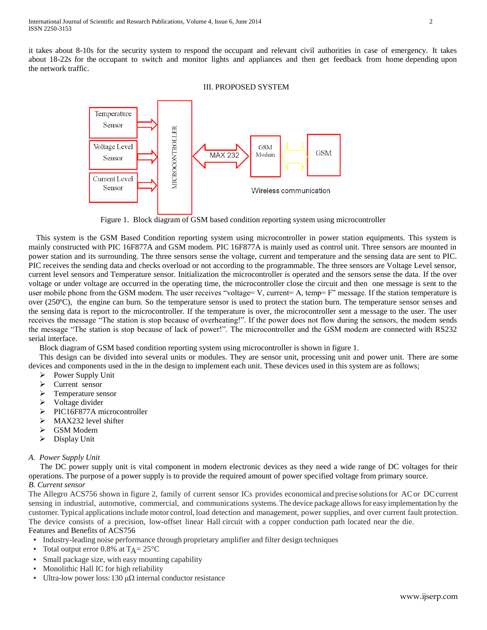it takes about 8-10s for the security system to respond the occupant and relevant civil authorities in case of emergency. It takes about 18-22s for the occupant to switch and monitor lights and appliances and then get feedback from home depending upon the network traffic.

#### III. PROPOSED SYSTEM



Figure 1. Block diagram of GSM based condition reporting system using microcontroller

This system is the GSM Based Condition reporting system using microcontroller in power station equipments. This system is mainly constructed with PIC 16F877A and GSM modem. PIC 16F877A is mainly used as control unit. Three sensors are mounted in power station and its surrounding. The three sensors sense the voltage, current and temperature and the sensing data are sent to PIC. PIC receives the sending data and checks overload or not according to the programmable. The three sensors are Voltage Level sensor, current level sensors and Temperature sensor. Initialization the microcontroller is operated and the sensors sense the data. If the over voltage or under voltage are occurred in the operating time, the microcontroller close the circuit and then one message is sent to the user mobile phone from the GSM modem. The user receives "voltage= V, current= A, temp= F" message. If the station temperature is over (250ºC), the engine can burn. So the temperature sensor is used to protect the station burn. The temperature sensor senses and the sensing data is report to the microcontroller. If the temperature is over, the microcontroller sent a message to the user. The user receives the message "The station is stop because of overheating!". If the power does not flow during the sensors, the modem sends the message "The station is stop because of lack of power!". The microcontroller and the GSM modem are connected with RS232 serial interface.

Block diagram of GSM based condition reporting system using microcontroller is shown in figure 1.

This design can be divided into several units or modules. They are sensor unit, processing unit and power unit. There are some devices and components used in the in the design to implement each unit. These devices used in this system are as follows;

- $\triangleright$  Power Supply Unit
- Current sensor
- > Temperature sensor
- Voltage divider
- PIC16F877A microcontroller
- $\triangleright$  MAX232 level shifter
- > GSM Modem
- > Display Unit

# *A. Power Supply Unit*

The DC power supply unit is vital component in modern electronic devices as they need a wide range of DC voltages for their operations. The purpose of a power supply is to provide the required amount of power specified voltage from primary source. *B. Current sensor*

The Allegro ACS756 shown in figure 2, family of current sensor ICs provides economical and precise solutionsfor ACor DCcurrent sensing in industrial, automotive, commercial, and communications systems.The device package allowsfor easy implementation by the customer.Typical applicationsinclude motor control, load detection and management, power supplies, and over current fault protection. The device consists of a precision, low-offset linear Hall circuit with a copper conduction path located near the die.

# Features and Benefits of ACS756

- Industry-leading noise performance through proprietary amplifier and filter design techniques
- Total output error 0.8% at  $T_A = 25^{\circ}C$
- Small package size, with easy mounting capability
- Monolithic Hall IC for high reliability
- Ultra-low power loss: 130 μΩ internal conductor resistance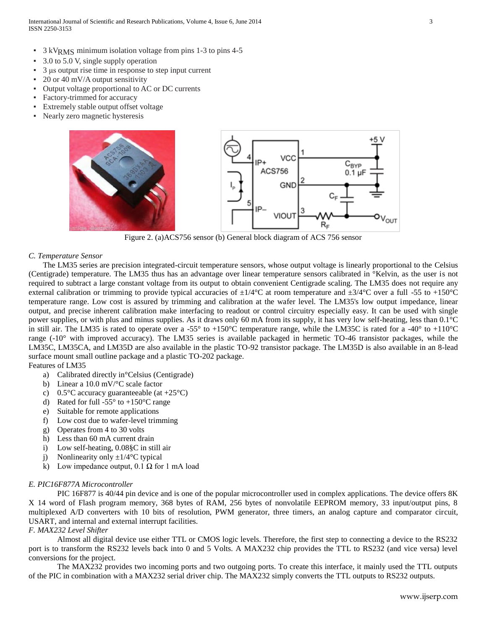International Journal of Scientific and Research Publications, Volume 4, Issue 6, June 2014 3 ISSN 2250-3153

- 3 kVRMS minimum isolation voltage from pins 1-3 to pins 4-5
- 3.0 to 5.0 V, single supply operation
- 3 μs output rise time in response to step input current
- 20 or 40 mV/A output sensitivity
- Output voltage proportional to AC or DC currents
- Factory-trimmed for accuracy
- Extremely stable output offset voltage
- Nearly zero magnetic hysteresis



Figure 2. (a)ACS756 sensor (b) General block diagram of ACS 756 sensor

#### *C. Temperature Sensor*

The LM35 series are precision integrated-circuit temperature sensors, whose output voltage is linearly proportional to the Celsius (Centigrade) temperature. The LM35 thus has an advantage over linear temperature sensors calibrated in °Kelvin, as the user is not required to subtract a large constant voltage from its output to obtain convenient Centigrade scaling. The LM35 does not require any external calibration or trimming to provide typical accuracies of  $\pm 1/4$ °C at room temperature and  $\pm 3/4$ °C over a full -55 to +150°C temperature range. Low cost is assured by trimming and calibration at the wafer level. The LM35's low output impedance, linear output, and precise inherent calibration make interfacing to readout or control circuitry especially easy. It can be used with single power supplies, or with plus and minus supplies. As it draws only 60 mA from its supply, it has very low self-heating, less than 0.1°C in still air. The LM35 is rated to operate over a -55° to +150°C temperature range, while the LM35C is rated for a -40° to +110°C range (-10° with improved accuracy). The LM35 series is available packaged in hermetic TO-46 transistor packages, while the LM35C, LM35CA, and LM35D are also available in the plastic TO-92 transistor package. The LM35D is also available in an 8-lead surface mount small outline package and a plastic TO-202 package.

Features of LM35

- a) Calibrated directly in°Celsius (Centigrade)
- b) Linear a 10.0 mV/°C scale factor
- c)  $0.5^{\circ}$ C accuracy guaranteeable (at +25 $^{\circ}$ C)
- d) Rated for full -55 $\degree$  to +150 $\degree$ C range
- e) Suitable for remote applications
- f) Low cost due to wafer-level trimming
- g) Operates from 4 to 30 volts
- h) Less than 60 mA current drain
- i) Low self-heating, 0.08§C in still air
- j) Nonlinearity only  $\pm 1/4$ °C typical
- k) Low impedance output,  $0.1 \Omega$  for 1 mA load

#### *E. PIC16F877A Microcontroller*

PIC 16F877 is 40/44 pin device and is one of the popular microcontroller used in complex applications. The device offers 8K X 14 word of Flash program memory, 368 bytes of RAM, 256 bytes of nonvolatile EEPROM memory, 33 input/output pins, 8 multiplexed A/D converters with 10 bits of resolution, PWM generator, three timers, an analog capture and comparator circuit, USART, and internal and external interrupt facilities.

*F. MAX232 Level Shifter*

Almost all digital device use either TTL or CMOS logic levels. Therefore, the first step to connecting a device to the RS232 port is to transform the RS232 levels back into 0 and 5 Volts. A MAX232 chip provides the TTL to RS232 (and vice versa) level conversions for the project.

The MAX232 provides two incoming ports and two outgoing ports. To create this interface, it mainly used the TTL outputs of the PIC in combination with a MAX232 serial driver chip. The MAX232 simply converts the TTL outputs to RS232 outputs.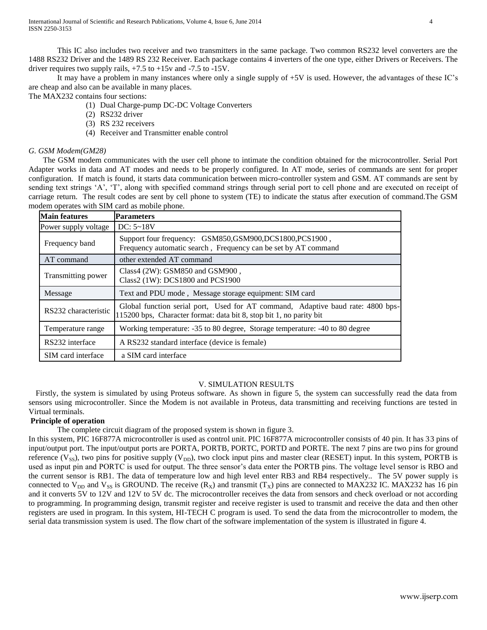It may have a problem in many instances where only a single supply of +5V is used. However, the advantages of these IC's are cheap and also can be available in many places.

The MAX232 contains four sections:

- (1) Dual Charge-pump DC-DC Voltage Converters
- (2) RS232 driver
- (3) RS 232 receivers
- (4) Receiver and Transmitter enable control

# *G. GSM Modem(GM28)*

The GSM modem communicates with the user cell phone to intimate the condition obtained for the microcontroller. Serial Port Adapter works in data and AT modes and needs to be properly configured. In AT mode, series of commands are sent for proper configuration. If match is found, it starts data communication between micro-controller system and GSM. AT commands are sent by sending text strings 'A', 'T', along with specified command strings through serial port to cell phone and are executed on receipt of carriage return. The result codes are sent by cell phone to system (TE) to indicate the status after execution of command.The GSM modem operates with SIM card as mobile phone.

| <b>Main features</b> | <b>Parameters</b>                                                                                                                                      |
|----------------------|--------------------------------------------------------------------------------------------------------------------------------------------------------|
| Power supply voltage | DC: 5~18V                                                                                                                                              |
| Frequency band       | Support four frequency: GSM850,GSM900,DCS1800,PCS1900,<br>Frequency automatic search, Frequency can be set by AT command                               |
| AT command           | other extended AT command                                                                                                                              |
| Transmitting power   | Class4 $(2W)$ : GSM850 and GSM900,<br>Class2 (1W): DCS1800 and PCS1900                                                                                 |
| Message              | Text and PDU mode, Message storage equipment: SIM card                                                                                                 |
| RS232 characteristic | Global function serial port, Used for AT command, Adaptive baud rate: 4800 bps-<br>115200 bps, Character format: data bit 8, stop bit 1, no parity bit |
| Temperature range    | Working temperature: -35 to 80 degree, Storage temperature: -40 to 80 degree                                                                           |
| RS232 interface      | A RS232 standard interface (device is female)                                                                                                          |
| SIM card interface   | a SIM card interface                                                                                                                                   |

# V. SIMULATION RESULTS

Firstly, the system is simulated by using Proteus software. As shown in figure 5, the system can successfully read the data from sensors using microcontroller. Since the Modem is not available in Proteus, data transmitting and receiving functions are tested in Virtual terminals.

# **Principle of operation**

The complete circuit diagram of the proposed system is shown in figure 3.

In this system, PIC 16F877A microcontroller is used as control unit. PIC 16F877A microcontroller consists of 40 pin. It has 33 pins of input/output port. The input/output ports are PORTA, PORTB, PORTC, PORTD and PORTE. The next 7 pins are two pins for ground reference ( $V_{SS}$ ), two pins for positive supply ( $V_{DD}$ ), two clock input pins and master clear (RESET) input. In this system, PORTB is used as input pin and PORTC is used for output. The three sensor's data enter the PORTB pins. The voltage level sensor is RBO and the current sensor is RB1. The data of temperature low and high level enter RB3 and RB4 respectively.. The 5V power supply is connected to  $V_{DD}$  and  $V_{SS}$  is GROUND. The receive (R<sub>X</sub>) and transmit (T<sub>X</sub>) pins are connected to MAX232 IC. MAX232 has 16 pin and it converts 5V to 12V and 12V to 5V dc. The microcontroller receives the data from sensors and check overload or not according to programming. In programming design, transmit register and receive register is used to transmit and receive the data and then other registers are used in program. In this system, HI-TECH C program is used. To send the data from the microcontroller to modem, the serial data transmission system is used. The flow chart of the software implementation of the system is illustrated in figure 4.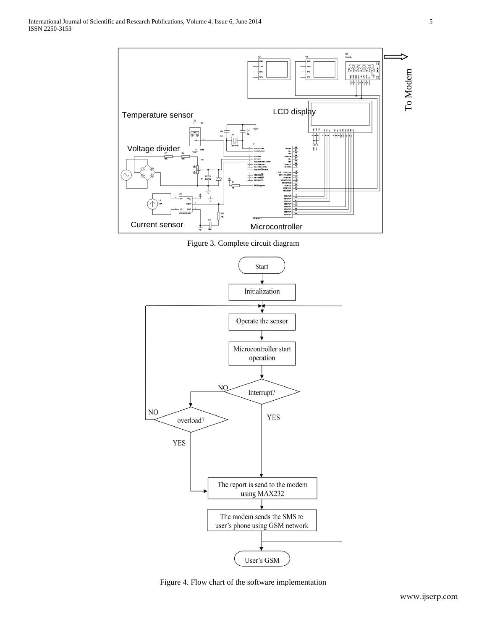

Figure 3. Complete circuit diagram



Figure 4. Flow chart of the software implementation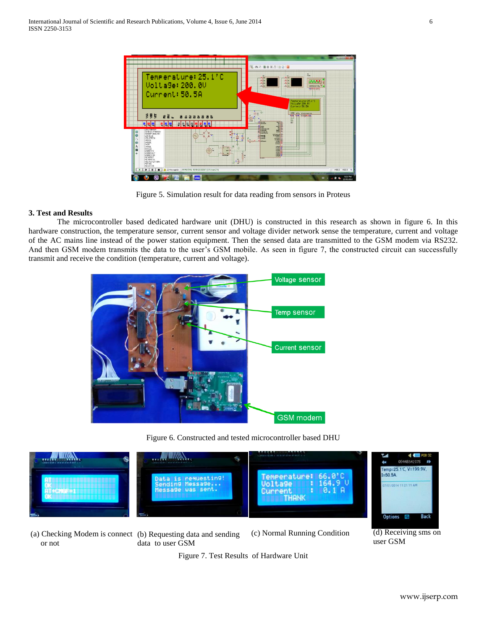| Current: 50.5A                                                                                                                                                                                                                   | Temperature: 25.1'C<br>Volta9e:200.0V | Jes<br>1.74<br>$\frac{1}{2}$                                                                                                                       | $\frac{1}{2}$<br>ofofofolo<br>$+$<br><b>SEZERSSE</b><br>the dealer<br>Tenneraturet 25, 110                      |  |
|----------------------------------------------------------------------------------------------------------------------------------------------------------------------------------------------------------------------------------|---------------------------------------|----------------------------------------------------------------------------------------------------------------------------------------------------|-----------------------------------------------------------------------------------------------------------------|--|
| 医复复<br>£È⊾<br>미카<br>19951-199211-00<br>٠<br>GENELECT1BUSDV<br>HITEMPTO00U16V<br>ö                                                                                                                                                | 86998886<br>원장에 나라 당장이                | 測<br>٠<br><b>Millengan</b><br><b><i>Department</i></b><br><b>Forest</b><br><b>SEA</b><br><b>EPRON'AN</b>                                           | Upit aSet 288, 80<br>Current: 50.5A<br><b>IST al. extended</b><br>$\frac{1}{2}$<br><b>THE FUNDERIN</b><br>Halad |  |
| LED-RLLIE<br>LED GREEN<br>b<br>LM016L<br>$\omega$<br>LMD20L<br>DOM:<br>A<br>LMO44L<br><b>MAX232</b><br>s<br><b>MINRES1K</b><br>$\ddot{}$<br>MINRES4K7<br><b>MINRESTOR</b><br>PIC16F877<br>PIC16F877A<br>POLYESTER100N<br>POT-HIS |                                       | <b>FRANK</b><br>축<br><b>FEMALE</b><br><b>COLE</b><br><b>Hart</b><br>$\mathbf{x}$<br><b>COMMERCIAL</b><br><b>Number</b><br><b>ICE</b><br><b>ALL</b> | uild.<br>шı<br>$\frac{1}{16}$<br>×<br>-<br><b>Railway</b><br>E                                                  |  |

Figure 5. Simulation result for data reading from sensors in Proteus

#### **3. Test and Results**

The microcontroller based dedicated hardware unit (DHU) is constructed in this research as shown in figure 6. In this hardware construction, the temperature sensor, current sensor and voltage divider network sense the temperature, current and voltage of the AC mains line instead of the power station equipment. Then the sensed data are transmitted to the GSM modem via RS232. And then GSM modem transmits the data to the user's GSM mobile. As seen in figure 7, the constructed circuit can successfully transmit and receive the condition (temperature, current and voltage).



Figure 6. Constructed and tested microcontroller based DHU

Figure 7. Test Results of Hardware Unit



or not

(a) Checking Modem is connect (b) Requesting data and sending data to user GSM

(c) Normal Running Condition (d) Receiving sms on

user GSM